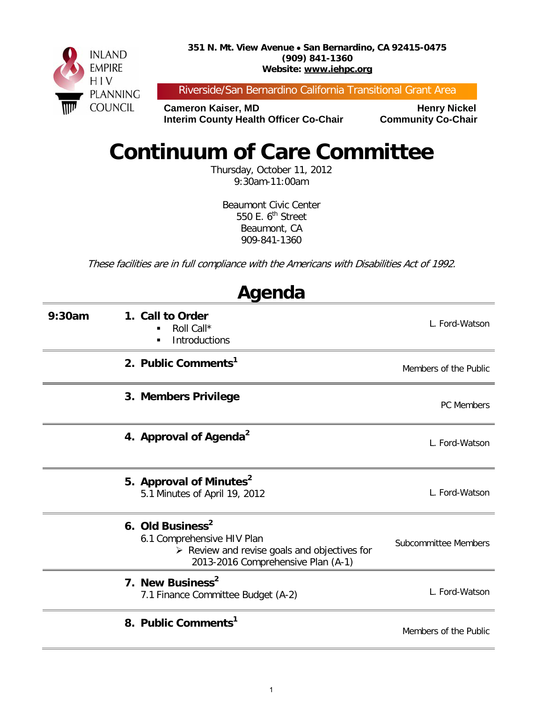**351 N. Mt. View Avenue** • **San Bernardino, CA 92415-0475 (909) 841-1360 Website: www.iehpc.org**



Riverside/San Bernardino California Transitional Grant Area

**Cameron Kaiser, MD Henry Nickel Interim County Health Officer Co-Chair Community Co-Chair** 

# **Continuum of Care Committee**

Thursday, October 11, 2012 9:30am-11:00am

Beaumont Civic Center 550 E.  $6<sup>th</sup>$  Street Beaumont, CA 909-841-1360

These facilities are in full compliance with the Americans with Disabilities Act of 1992.

**Agenda**

| Aycı ıua |                                                                                                                                                                 |                       |  |  |  |
|----------|-----------------------------------------------------------------------------------------------------------------------------------------------------------------|-----------------------|--|--|--|
| 9:30am   | 1. Call to Order<br>Roll Call*<br><b>Introductions</b><br>п                                                                                                     | L. Ford-Watson        |  |  |  |
|          | 2. Public Comments <sup>1</sup>                                                                                                                                 | Members of the Public |  |  |  |
|          | 3. Members Privilege                                                                                                                                            | PC Members            |  |  |  |
|          | 4. Approval of Agenda <sup>2</sup>                                                                                                                              | L. Ford-Watson        |  |  |  |
|          | 5. Approval of Minutes <sup>2</sup><br>5.1 Minutes of April 19, 2012                                                                                            | L. Ford-Watson        |  |  |  |
|          | 6. Old Business <sup>2</sup><br>6.1 Comprehensive HIV Plan<br>$\triangleright$ Review and revise goals and objectives for<br>2013-2016 Comprehensive Plan (A-1) | Subcommittee Members  |  |  |  |
|          | 7. New Business <sup>2</sup><br>7.1 Finance Committee Budget (A-2)                                                                                              | L. Ford-Watson        |  |  |  |
|          | 8. Public Comments <sup>1</sup>                                                                                                                                 | Members of the Public |  |  |  |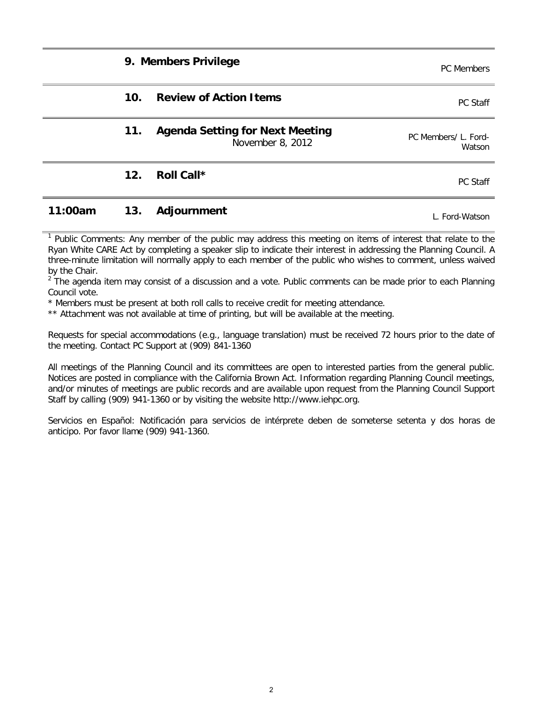|     |                                                            | PC Members                     |
|-----|------------------------------------------------------------|--------------------------------|
| 10. | <b>Review of Action Items</b>                              | PC Staff                       |
| 11. | <b>Agenda Setting for Next Meeting</b><br>November 8, 2012 | PC Members/ L. Ford-<br>Watson |
| 12. | Roll Call*                                                 | PC Staff                       |

### **11:00am 13. Adjournment** L. Ford-Watson

**9. Members Privilege**

<sup>1</sup> Public Comments: Any member of the public may address this meeting on items of interest that relate to the Ryan White CARE Act by completing a speaker slip to indicate their interest in addressing the Planning Council. A three-minute limitation will normally apply to each member of the public who wishes to comment, unless waived by the Chair.

 $<sup>2</sup>$  The agenda item may consist of a discussion and a vote. Public comments can be made prior to each Planning</sup> Council vote.

\* Members must be present at both roll calls to receive credit for meeting attendance.

\*\* Attachment was not available at time of printing, but will be available at the meeting.

Requests for special accommodations (e.g., language translation) must be received 72 hours prior to the date of the meeting. Contact PC Support at (909) 841-1360

All meetings of the Planning Council and its committees are open to interested parties from the general public. Notices are posted in compliance with the California Brown Act. Information regarding Planning Council meetings, and/or minutes of meetings are public records and are available upon request from the Planning Council Support Staff by calling (909) 941-1360 or by visiting the website http://www.iehpc.org.

Servicios en Español: Notificación para servicios de intérprete deben de someterse setenta y dos horas de anticipo. Por favor llame (909) 941-1360.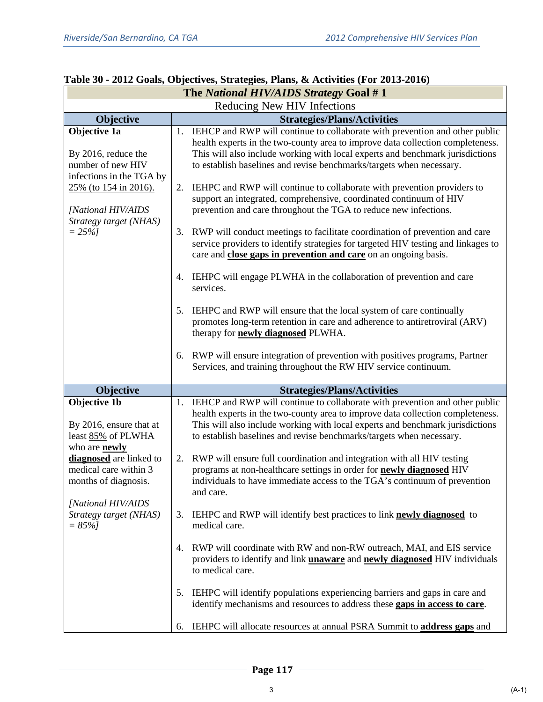| The National HIV/AIDS Strategy Goal #1                                                       |    |                                                                                                                                                                                                                                                                                                                           |  |
|----------------------------------------------------------------------------------------------|----|---------------------------------------------------------------------------------------------------------------------------------------------------------------------------------------------------------------------------------------------------------------------------------------------------------------------------|--|
| Reducing New HIV Infections                                                                  |    |                                                                                                                                                                                                                                                                                                                           |  |
| Objective                                                                                    |    | <b>Strategies/Plans/Activities</b>                                                                                                                                                                                                                                                                                        |  |
| Objective 1a<br>By 2016, reduce the<br>number of new HIV                                     |    | 1. IEHCP and RWP will continue to collaborate with prevention and other public<br>health experts in the two-county area to improve data collection completeness.<br>This will also include working with local experts and benchmark jurisdictions<br>to establish baselines and revise benchmarks/targets when necessary. |  |
| infections in the TGA by<br>25% (to 154 in 2016).<br>[National HIV/AIDS                      | 2. | IEHPC and RWP will continue to collaborate with prevention providers to<br>support an integrated, comprehensive, coordinated continuum of HIV<br>prevention and care throughout the TGA to reduce new infections.                                                                                                         |  |
| Strategy target (NHAS)<br>$= 25\%$ ]                                                         |    | 3. RWP will conduct meetings to facilitate coordination of prevention and care<br>service providers to identify strategies for targeted HIV testing and linkages to<br>care and close gaps in prevention and care on an ongoing basis.                                                                                    |  |
|                                                                                              |    | 4. IEHPC will engage PLWHA in the collaboration of prevention and care<br>services.                                                                                                                                                                                                                                       |  |
|                                                                                              | 5. | IEHPC and RWP will ensure that the local system of care continually<br>promotes long-term retention in care and adherence to antiretroviral (ARV)<br>therapy for <b>newly diagnosed</b> PLWHA.                                                                                                                            |  |
|                                                                                              | 6. | RWP will ensure integration of prevention with positives programs, Partner<br>Services, and training throughout the RW HIV service continuum.                                                                                                                                                                             |  |
| Objective                                                                                    |    | <b>Strategies/Plans/Activities</b>                                                                                                                                                                                                                                                                                        |  |
| <b>Objective 1b</b><br>By 2016, ensure that at<br>least 85% of PLWHA<br>who are <b>newly</b> | 1. | IEHCP and RWP will continue to collaborate with prevention and other public<br>health experts in the two-county area to improve data collection completeness.<br>This will also include working with local experts and benchmark jurisdictions<br>to establish baselines and revise benchmarks/targets when necessary.    |  |
| diagnosed are linked to<br>medical care within 3<br>months of diagnosis.                     |    | 2. RWP will ensure full coordination and integration with all HIV testing<br>programs at non-healthcare settings in order for newly diagnosed HIV<br>individuals to have immediate access to the TGA's continuum of prevention<br>and care.                                                                               |  |
| [National HIV/AIDS<br>Strategy target (NHAS)<br>$= 85\%$                                     | 3. | IEHPC and RWP will identify best practices to link newly diagnosed to<br>medical care.                                                                                                                                                                                                                                    |  |
|                                                                                              | 4. | RWP will coordinate with RW and non-RW outreach, MAI, and EIS service<br>providers to identify and link <i>unaware</i> and <i>newly diagnosed HIV</i> individuals<br>to medical care.                                                                                                                                     |  |
|                                                                                              | 5. | IEHPC will identify populations experiencing barriers and gaps in care and<br>identify mechanisms and resources to address these gaps in access to care.                                                                                                                                                                  |  |
|                                                                                              | 6. | IEHPC will allocate resources at annual PSRA Summit to <b>address gaps</b> and                                                                                                                                                                                                                                            |  |

### **Table 30 - 2012 Goals, Objectives, Strategies, Plans, & Activities (For 2013-2016)**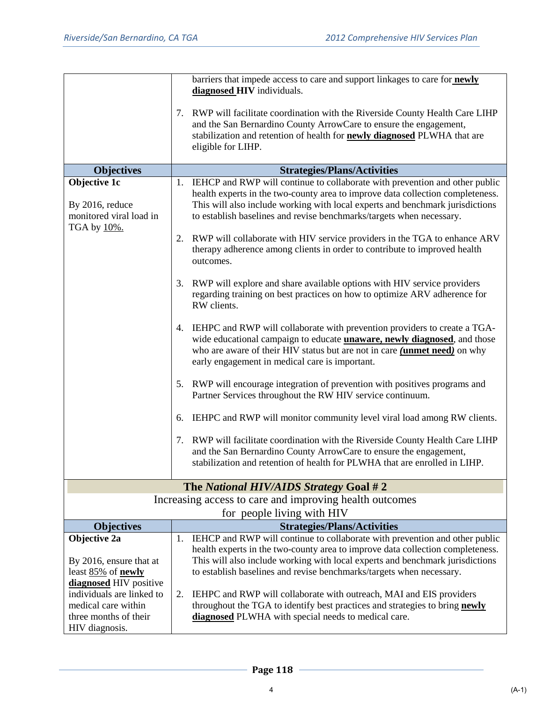|                                                           | barriers that impede access to care and support linkages to care for newly<br>diagnosed HIV individuals.                                                                                                                                                                                        |
|-----------------------------------------------------------|-------------------------------------------------------------------------------------------------------------------------------------------------------------------------------------------------------------------------------------------------------------------------------------------------|
|                                                           |                                                                                                                                                                                                                                                                                                 |
|                                                           | 7. RWP will facilitate coordination with the Riverside County Health Care LIHP<br>and the San Bernardino County ArrowCare to ensure the engagement,                                                                                                                                             |
|                                                           | stabilization and retention of health for <b>newly diagnosed</b> PLWHA that are                                                                                                                                                                                                                 |
|                                                           | eligible for LIHP.                                                                                                                                                                                                                                                                              |
| <b>Objectives</b>                                         | <b>Strategies/Plans/Activities</b>                                                                                                                                                                                                                                                              |
| Objective 1c                                              | 1. IEHCP and RWP will continue to collaborate with prevention and other public                                                                                                                                                                                                                  |
| By 2016, reduce<br>monitored viral load in<br>TGA by 10%. | health experts in the two-county area to improve data collection completeness.<br>This will also include working with local experts and benchmark jurisdictions<br>to establish baselines and revise benchmarks/targets when necessary.                                                         |
|                                                           | 2. RWP will collaborate with HIV service providers in the TGA to enhance ARV<br>therapy adherence among clients in order to contribute to improved health<br>outcomes.                                                                                                                          |
|                                                           | 3. RWP will explore and share available options with HIV service providers<br>regarding training on best practices on how to optimize ARV adherence for<br>RW clients.                                                                                                                          |
|                                                           | 4. IEHPC and RWP will collaborate with prevention providers to create a TGA-<br>wide educational campaign to educate <b>unaware</b> , newly diagnosed, and those<br>who are aware of their HIV status but are not in care (unmet need) on why<br>early engagement in medical care is important. |
|                                                           | 5. RWP will encourage integration of prevention with positives programs and<br>Partner Services throughout the RW HIV service continuum.                                                                                                                                                        |
|                                                           | IEHPC and RWP will monitor community level viral load among RW clients.<br>6.                                                                                                                                                                                                                   |
|                                                           | RWP will facilitate coordination with the Riverside County Health Care LIHP<br>7.<br>and the San Bernardino County ArrowCare to ensure the engagement,<br>stabilization and retention of health for PLWHA that are enrolled in LIHP.                                                            |
|                                                           | The National HIV/AIDS Strategy Goal #2                                                                                                                                                                                                                                                          |
|                                                           | Increasing access to care and improving health outcomes                                                                                                                                                                                                                                         |
|                                                           | for people living with HIV                                                                                                                                                                                                                                                                      |
| <b>Objectives</b>                                         | <b>Strategies/Plans/Activities</b>                                                                                                                                                                                                                                                              |
| Objective 2a                                              | IEHCP and RWP will continue to collaborate with prevention and other public<br>1.<br>health experts in the two-county area to improve data collection completeness.                                                                                                                             |
| By 2016, ensure that at                                   | This will also include working with local experts and benchmark jurisdictions                                                                                                                                                                                                                   |
| least 85% of <b>newly</b>                                 | to establish baselines and revise benchmarks/targets when necessary.                                                                                                                                                                                                                            |
| diagnosed HIV positive                                    |                                                                                                                                                                                                                                                                                                 |
| individuals are linked to                                 | 2.<br>IEHPC and RWP will collaborate with outreach, MAI and EIS providers                                                                                                                                                                                                                       |
| medical care within                                       | throughout the TGA to identify best practices and strategies to bring newly                                                                                                                                                                                                                     |
| three months of their                                     | diagnosed PLWHA with special needs to medical care.                                                                                                                                                                                                                                             |
| HIV diagnosis.                                            |                                                                                                                                                                                                                                                                                                 |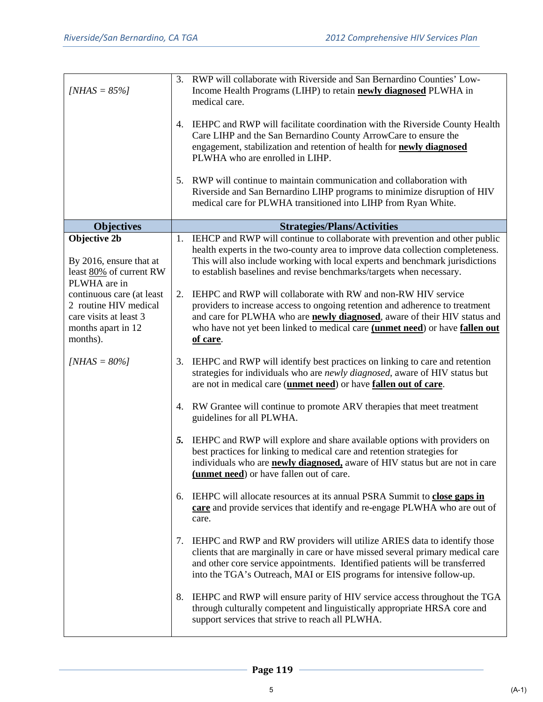| [ $NHAS = 85\%$ ]                                                                                              |    | 3. RWP will collaborate with Riverside and San Bernardino Counties' Low-<br>Income Health Programs (LIHP) to retain <b>newly diagnosed</b> PLWHA in<br>medical care.                                                                                                                                                           |
|----------------------------------------------------------------------------------------------------------------|----|--------------------------------------------------------------------------------------------------------------------------------------------------------------------------------------------------------------------------------------------------------------------------------------------------------------------------------|
|                                                                                                                | 4. | IEHPC and RWP will facilitate coordination with the Riverside County Health<br>Care LIHP and the San Bernardino County ArrowCare to ensure the<br>engagement, stabilization and retention of health for newly diagnosed<br>PLWHA who are enrolled in LIHP.                                                                     |
|                                                                                                                | 5. | RWP will continue to maintain communication and collaboration with<br>Riverside and San Bernardino LIHP programs to minimize disruption of HIV<br>medical care for PLWHA transitioned into LIHP from Ryan White.                                                                                                               |
| <b>Objectives</b>                                                                                              |    | <b>Strategies/Plans/Activities</b>                                                                                                                                                                                                                                                                                             |
| <b>Objective 2b</b>                                                                                            | 1. | IEHCP and RWP will continue to collaborate with prevention and other public                                                                                                                                                                                                                                                    |
| By 2016, ensure that at<br>least 80% of current RW<br>PLWHA are in                                             |    | health experts in the two-county area to improve data collection completeness.<br>This will also include working with local experts and benchmark jurisdictions<br>to establish baselines and revise benchmarks/targets when necessary.                                                                                        |
| continuous care (at least<br>2 routine HIV medical<br>care visits at least 3<br>months apart in 12<br>months). | 2. | IEHPC and RWP will collaborate with RW and non-RW HIV service<br>providers to increase access to ongoing retention and adherence to treatment<br>and care for PLWHA who are <b>newly diagnosed</b> , aware of their HIV status and<br>who have not yet been linked to medical care (unmet need) or have fallen out<br>of care. |
| $[NHAS = 80\%]$                                                                                                | 3. | IEHPC and RWP will identify best practices on linking to care and retention<br>strategies for individuals who are newly diagnosed, aware of HIV status but<br>are not in medical care (unmet need) or have fallen out of care.                                                                                                 |
|                                                                                                                | 4. | RW Grantee will continue to promote ARV therapies that meet treatment<br>guidelines for all PLWHA.                                                                                                                                                                                                                             |
|                                                                                                                | 5. | IEHPC and RWP will explore and share available options with providers on<br>best practices for linking to medical care and retention strategies for<br>individuals who are <b>newly diagnosed</b> , aware of HIV status but are not in care<br>(unmet need) or have fallen out of care.                                        |
|                                                                                                                | 6. | IEHPC will allocate resources at its annual PSRA Summit to close gaps in<br>care and provide services that identify and re-engage PLWHA who are out of<br>care.                                                                                                                                                                |
|                                                                                                                | 7. | IEHPC and RWP and RW providers will utilize ARIES data to identify those<br>clients that are marginally in care or have missed several primary medical care<br>and other core service appointments. Identified patients will be transferred<br>into the TGA's Outreach, MAI or EIS programs for intensive follow-up.           |
|                                                                                                                | 8. | IEHPC and RWP will ensure parity of HIV service access throughout the TGA<br>through culturally competent and linguistically appropriate HRSA core and<br>support services that strive to reach all PLWHA.                                                                                                                     |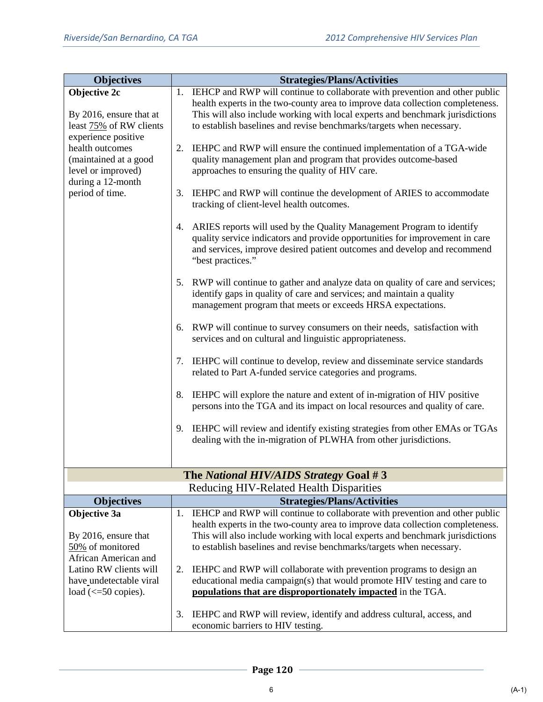| <b>Objectives</b>                                          | <b>Strategies/Plans/Activities</b> |                                                                                                                                                        |  |
|------------------------------------------------------------|------------------------------------|--------------------------------------------------------------------------------------------------------------------------------------------------------|--|
| Objective 2c                                               |                                    | 1. IEHCP and RWP will continue to collaborate with prevention and other public                                                                         |  |
|                                                            |                                    | health experts in the two-county area to improve data collection completeness.                                                                         |  |
| By 2016, ensure that at                                    |                                    | This will also include working with local experts and benchmark jurisdictions                                                                          |  |
| least 75% of RW clients                                    |                                    | to establish baselines and revise benchmarks/targets when necessary.                                                                                   |  |
| experience positive                                        |                                    |                                                                                                                                                        |  |
| health outcomes                                            | 2.                                 | IEHPC and RWP will ensure the continued implementation of a TGA-wide                                                                                   |  |
| (maintained at a good                                      |                                    | quality management plan and program that provides outcome-based                                                                                        |  |
| level or improved)                                         |                                    | approaches to ensuring the quality of HIV care.                                                                                                        |  |
| during a 12-month                                          |                                    |                                                                                                                                                        |  |
| period of time.                                            | 3.                                 | IEHPC and RWP will continue the development of ARIES to accommodate                                                                                    |  |
|                                                            |                                    | tracking of client-level health outcomes.                                                                                                              |  |
|                                                            |                                    |                                                                                                                                                        |  |
|                                                            | 4.                                 | ARIES reports will used by the Quality Management Program to identify                                                                                  |  |
|                                                            |                                    | quality service indicators and provide opportunities for improvement in care                                                                           |  |
|                                                            |                                    | and services, improve desired patient outcomes and develop and recommend                                                                               |  |
|                                                            |                                    | "best practices."                                                                                                                                      |  |
|                                                            |                                    |                                                                                                                                                        |  |
|                                                            | 5.                                 | RWP will continue to gather and analyze data on quality of care and services;<br>identify gaps in quality of care and services; and maintain a quality |  |
|                                                            |                                    | management program that meets or exceeds HRSA expectations.                                                                                            |  |
|                                                            |                                    |                                                                                                                                                        |  |
|                                                            |                                    | 6. RWP will continue to survey consumers on their needs, satisfaction with                                                                             |  |
|                                                            |                                    | services and on cultural and linguistic appropriateness.                                                                                               |  |
|                                                            |                                    |                                                                                                                                                        |  |
|                                                            | 7.                                 | IEHPC will continue to develop, review and disseminate service standards                                                                               |  |
|                                                            |                                    | related to Part A-funded service categories and programs.                                                                                              |  |
|                                                            |                                    |                                                                                                                                                        |  |
|                                                            | 8.                                 | IEHPC will explore the nature and extent of in-migration of HIV positive                                                                               |  |
|                                                            |                                    | persons into the TGA and its impact on local resources and quality of care.                                                                            |  |
|                                                            |                                    |                                                                                                                                                        |  |
|                                                            | 9.                                 | IEHPC will review and identify existing strategies from other EMAs or TGAs<br>dealing with the in-migration of PLWHA from other jurisdictions.         |  |
|                                                            |                                    |                                                                                                                                                        |  |
|                                                            |                                    |                                                                                                                                                        |  |
|                                                            |                                    | The National HIV/AIDS Strategy Goal #3                                                                                                                 |  |
|                                                            |                                    | Reducing HIV-Related Health Disparities                                                                                                                |  |
| <b>Objectives</b>                                          |                                    | <b>Strategies/Plans/Activities</b>                                                                                                                     |  |
| Objective 3a                                               | 1.                                 | IEHCP and RWP will continue to collaborate with prevention and other public                                                                            |  |
|                                                            |                                    | health experts in the two-county area to improve data collection completeness.                                                                         |  |
| By 2016, ensure that                                       |                                    | This will also include working with local experts and benchmark jurisdictions                                                                          |  |
| 50% of monitored                                           |                                    | to establish baselines and revise benchmarks/targets when necessary.                                                                                   |  |
| African American and                                       |                                    |                                                                                                                                                        |  |
| Latino RW clients will                                     | 2.                                 | IEHPC and RWP will collaborate with prevention programs to design an                                                                                   |  |
| have_undetectable viral                                    |                                    | educational media campaign(s) that would promote HIV testing and care to                                                                               |  |
| load $\left(\rightleftharpoons 50 \text{ copies}\right)$ . |                                    | populations that are disproportionately impacted in the TGA.                                                                                           |  |
|                                                            |                                    |                                                                                                                                                        |  |
|                                                            | 3.                                 | IEHPC and RWP will review, identify and address cultural, access, and<br>economic barriers to HIV testing.                                             |  |
|                                                            |                                    |                                                                                                                                                        |  |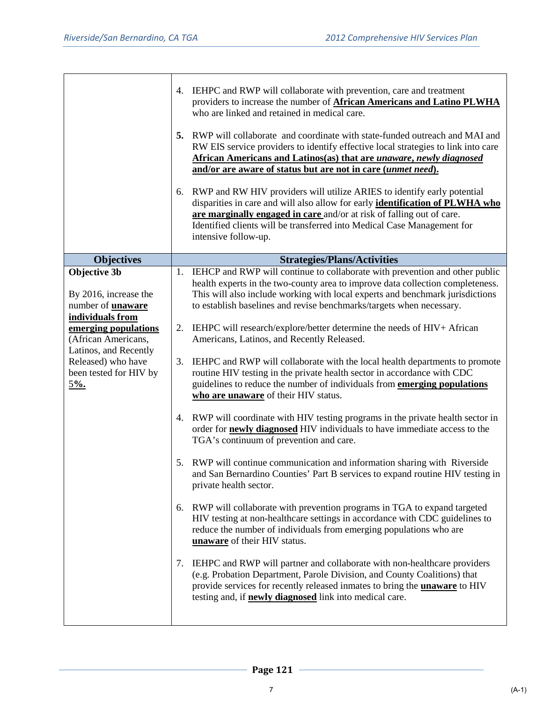|                                                                                                                                                        | 4. | IEHPC and RWP will collaborate with prevention, care and treatment<br>providers to increase the number of <b>African Americans and Latino PLWHA</b><br>who are linked and retained in medical care.<br>5. RWP will collaborate and coordinate with state-funded outreach and MAI and                                                 |  |
|--------------------------------------------------------------------------------------------------------------------------------------------------------|----|--------------------------------------------------------------------------------------------------------------------------------------------------------------------------------------------------------------------------------------------------------------------------------------------------------------------------------------|--|
|                                                                                                                                                        |    | RW EIS service providers to identify effective local strategies to link into care<br><b>African Americans and Latinos(as) that are unaware, newly diagnosed</b><br>and/or are aware of status but are not in care (unmet need).                                                                                                      |  |
|                                                                                                                                                        | 6. | RWP and RW HIV providers will utilize ARIES to identify early potential<br>disparities in care and will also allow for early identification of PLWHA who<br>are marginally engaged in care and/or at risk of falling out of care.<br>Identified clients will be transferred into Medical Case Management for<br>intensive follow-up. |  |
| <b>Objectives</b>                                                                                                                                      |    | <b>Strategies/Plans/Activities</b>                                                                                                                                                                                                                                                                                                   |  |
| <b>Objective 3b</b><br>By 2016, increase the<br>number of <b>unaware</b>                                                                               | 1. | IEHCP and RWP will continue to collaborate with prevention and other public<br>health experts in the two-county area to improve data collection completeness.<br>This will also include working with local experts and benchmark jurisdictions<br>to establish baselines and revise benchmarks/targets when necessary.               |  |
| individuals from<br>emerging populations<br>(African Americans,<br>Latinos, and Recently<br>Released) who have<br>been tested for HIV by<br><u>5%.</u> | 2. | IEHPC will research/explore/better determine the needs of HIV+ African<br>Americans, Latinos, and Recently Released.                                                                                                                                                                                                                 |  |
|                                                                                                                                                        | 3. | IEHPC and RWP will collaborate with the local health departments to promote<br>routine HIV testing in the private health sector in accordance with CDC<br>guidelines to reduce the number of individuals from emerging populations<br>who are unaware of their HIV status.                                                           |  |
|                                                                                                                                                        |    | 4. RWP will coordinate with HIV testing programs in the private health sector in<br>order for <b>newly diagnosed</b> HIV individuals to have immediate access to the<br>TGA's continuum of prevention and care.                                                                                                                      |  |
|                                                                                                                                                        |    | 5. RWP will continue communication and information sharing with Riverside<br>and San Bernardino Counties' Part B services to expand routine HIV testing in<br>private health sector.                                                                                                                                                 |  |
|                                                                                                                                                        |    | 6. RWP will collaborate with prevention programs in TGA to expand targeted<br>HIV testing at non-healthcare settings in accordance with CDC guidelines to<br>reduce the number of individuals from emerging populations who are<br>unaware of their HIV status.                                                                      |  |
|                                                                                                                                                        |    | 7. IEHPC and RWP will partner and collaborate with non-healthcare providers<br>(e.g. Probation Department, Parole Division, and County Coalitions) that<br>provide services for recently released inmates to bring the <i>unaware</i> to HIV<br>testing and, if <b>newly diagnosed</b> link into medical care.                       |  |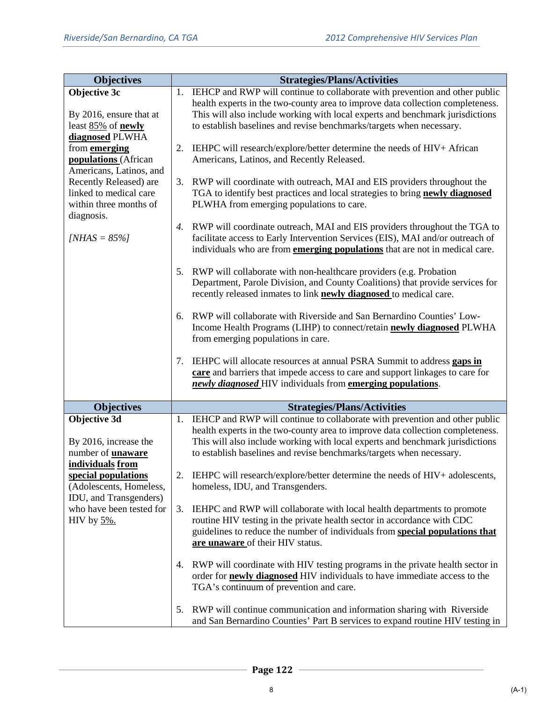| <b>Objectives</b>                                   | <b>Strategies/Plans/Activities</b>                                            |                                                                                                                                                            |  |  |  |
|-----------------------------------------------------|-------------------------------------------------------------------------------|------------------------------------------------------------------------------------------------------------------------------------------------------------|--|--|--|
| Objective 3c                                        |                                                                               | 1. IEHCP and RWP will continue to collaborate with prevention and other public                                                                             |  |  |  |
|                                                     |                                                                               | health experts in the two-county area to improve data collection completeness.                                                                             |  |  |  |
| By 2016, ensure that at                             | This will also include working with local experts and benchmark jurisdictions |                                                                                                                                                            |  |  |  |
| least 85% of newly                                  |                                                                               | to establish baselines and revise benchmarks/targets when necessary.                                                                                       |  |  |  |
| diagnosed PLWHA                                     |                                                                               |                                                                                                                                                            |  |  |  |
| from <b>emerging</b><br><b>populations</b> (African |                                                                               | 2. IEHPC will research/explore/better determine the needs of HIV+ African<br>Americans, Latinos, and Recently Released.                                    |  |  |  |
| Americans, Latinos, and                             |                                                                               |                                                                                                                                                            |  |  |  |
| Recently Released) are                              | 3.                                                                            | RWP will coordinate with outreach, MAI and EIS providers throughout the                                                                                    |  |  |  |
| linked to medical care                              |                                                                               | TGA to identify best practices and local strategies to bring newly diagnosed                                                                               |  |  |  |
| within three months of                              |                                                                               | PLWHA from emerging populations to care.                                                                                                                   |  |  |  |
| diagnosis.                                          |                                                                               |                                                                                                                                                            |  |  |  |
|                                                     | 4.                                                                            | RWP will coordinate outreach, MAI and EIS providers throughout the TGA to                                                                                  |  |  |  |
| [ $NHAS = 85\%$ ]                                   |                                                                               | facilitate access to Early Intervention Services (EIS), MAI and/or outreach of                                                                             |  |  |  |
|                                                     |                                                                               | individuals who are from <b>emerging populations</b> that are not in medical care.                                                                         |  |  |  |
|                                                     |                                                                               |                                                                                                                                                            |  |  |  |
|                                                     | 5.                                                                            | RWP will collaborate with non-healthcare providers (e.g. Probation                                                                                         |  |  |  |
|                                                     |                                                                               | Department, Parole Division, and County Coalitions) that provide services for<br>recently released inmates to link <b>newly diagnosed</b> to medical care. |  |  |  |
|                                                     |                                                                               |                                                                                                                                                            |  |  |  |
|                                                     |                                                                               | 6. RWP will collaborate with Riverside and San Bernardino Counties' Low-                                                                                   |  |  |  |
|                                                     |                                                                               | Income Health Programs (LIHP) to connect/retain newly diagnosed PLWHA                                                                                      |  |  |  |
|                                                     |                                                                               | from emerging populations in care.                                                                                                                         |  |  |  |
|                                                     |                                                                               |                                                                                                                                                            |  |  |  |
|                                                     | 7.                                                                            | IEHPC will allocate resources at annual PSRA Summit to address gaps in                                                                                     |  |  |  |
|                                                     |                                                                               | care and barriers that impede access to care and support linkages to care for                                                                              |  |  |  |
|                                                     |                                                                               | newly diagnosed HIV individuals from emerging populations.                                                                                                 |  |  |  |
| <b>Objectives</b>                                   |                                                                               | <b>Strategies/Plans/Activities</b>                                                                                                                         |  |  |  |
| <b>Objective 3d</b>                                 |                                                                               | 1. IEHCP and RWP will continue to collaborate with prevention and other public                                                                             |  |  |  |
|                                                     |                                                                               | health experts in the two-county area to improve data collection completeness.                                                                             |  |  |  |
| By 2016, increase the                               |                                                                               | This will also include working with local experts and benchmark jurisdictions                                                                              |  |  |  |
| number of <b>unaware</b>                            |                                                                               | to establish baselines and revise benchmarks/targets when necessary.                                                                                       |  |  |  |
| individuals from                                    |                                                                               |                                                                                                                                                            |  |  |  |
| special populations                                 | 2.                                                                            | IEHPC will research/explore/better determine the needs of HIV+ adolescents,                                                                                |  |  |  |
| (Adolescents, Homeless,                             |                                                                               | homeless, IDU, and Transgenders.                                                                                                                           |  |  |  |
| IDU, and Transgenders)                              |                                                                               |                                                                                                                                                            |  |  |  |
| who have been tested for                            | 3.                                                                            | IEHPC and RWP will collaborate with local health departments to promote                                                                                    |  |  |  |
| HIV by $5\%$ .                                      |                                                                               | routine HIV testing in the private health sector in accordance with CDC                                                                                    |  |  |  |
|                                                     |                                                                               | guidelines to reduce the number of individuals from special populations that<br>are unaware of their HIV status.                                           |  |  |  |
|                                                     |                                                                               |                                                                                                                                                            |  |  |  |
|                                                     | 4.                                                                            | RWP will coordinate with HIV testing programs in the private health sector in                                                                              |  |  |  |
|                                                     |                                                                               | order for <b>newly diagnosed</b> HIV individuals to have immediate access to the                                                                           |  |  |  |
|                                                     |                                                                               | TGA's continuum of prevention and care.                                                                                                                    |  |  |  |
|                                                     |                                                                               |                                                                                                                                                            |  |  |  |
|                                                     | 5.                                                                            | RWP will continue communication and information sharing with Riverside                                                                                     |  |  |  |
|                                                     |                                                                               | and San Bernardino Counties' Part B services to expand routine HIV testing in                                                                              |  |  |  |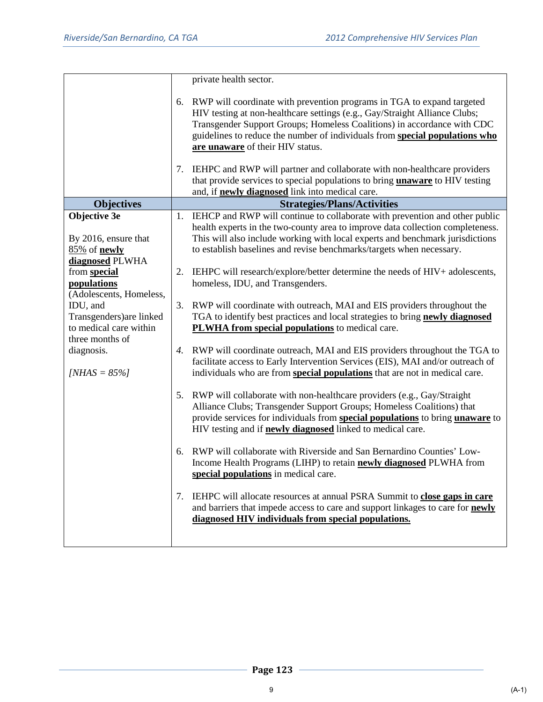|                                                                                                                                                                                                   |    | private health sector.                                                                                                                                                                                                                                                                                                                             |
|---------------------------------------------------------------------------------------------------------------------------------------------------------------------------------------------------|----|----------------------------------------------------------------------------------------------------------------------------------------------------------------------------------------------------------------------------------------------------------------------------------------------------------------------------------------------------|
|                                                                                                                                                                                                   | 6. | RWP will coordinate with prevention programs in TGA to expand targeted<br>HIV testing at non-healthcare settings (e.g., Gay/Straight Alliance Clubs;<br>Transgender Support Groups; Homeless Coalitions) in accordance with CDC<br>guidelines to reduce the number of individuals from special populations who<br>are unaware of their HIV status. |
|                                                                                                                                                                                                   | 7. | IEHPC and RWP will partner and collaborate with non-healthcare providers<br>that provide services to special populations to bring <i>unaware</i> to HIV testing                                                                                                                                                                                    |
|                                                                                                                                                                                                   |    | and, if newly diagnosed link into medical care.                                                                                                                                                                                                                                                                                                    |
| <b>Objectives</b>                                                                                                                                                                                 |    | <b>Strategies/Plans/Activities</b>                                                                                                                                                                                                                                                                                                                 |
| Objective 3e<br>By 2016, ensure that<br>85% of newly                                                                                                                                              |    | 1. IEHCP and RWP will continue to collaborate with prevention and other public<br>health experts in the two-county area to improve data collection completeness.<br>This will also include working with local experts and benchmark jurisdictions<br>to establish baselines and revise benchmarks/targets when necessary.                          |
| diagnosed PLWHA<br>from special<br>populations<br>(Adolescents, Homeless,<br>IDU, and<br>Transgenders) are linked<br>to medical care within<br>three months of<br>diagnosis.<br>[ $NHAS = 85\%$ ] | 2. | IEHPC will research/explore/better determine the needs of HIV+ adolescents,<br>homeless, IDU, and Transgenders.                                                                                                                                                                                                                                    |
|                                                                                                                                                                                                   | 3. | RWP will coordinate with outreach, MAI and EIS providers throughout the<br>TGA to identify best practices and local strategies to bring newly diagnosed<br><b>PLWHA from special populations</b> to medical care.                                                                                                                                  |
|                                                                                                                                                                                                   | 4. | RWP will coordinate outreach, MAI and EIS providers throughout the TGA to<br>facilitate access to Early Intervention Services (EIS), MAI and/or outreach of<br>individuals who are from special populations that are not in medical care.                                                                                                          |
|                                                                                                                                                                                                   | 5. | RWP will collaborate with non-healthcare providers (e.g., Gay/Straight<br>Alliance Clubs; Transgender Support Groups; Homeless Coalitions) that<br>provide services for individuals from special populations to bring unaware to<br>HIV testing and if <b>newly diagnosed</b> linked to medical care.                                              |
|                                                                                                                                                                                                   | 6. | RWP will collaborate with Riverside and San Bernardino Counties' Low-<br>Income Health Programs (LIHP) to retain <b>newly diagnosed</b> PLWHA from<br>special populations in medical care.                                                                                                                                                         |
|                                                                                                                                                                                                   | 7. | IEHPC will allocate resources at annual PSRA Summit to close gaps in care<br>and barriers that impede access to care and support linkages to care for <b>newly</b><br>diagnosed HIV individuals from special populations.                                                                                                                          |
|                                                                                                                                                                                                   |    |                                                                                                                                                                                                                                                                                                                                                    |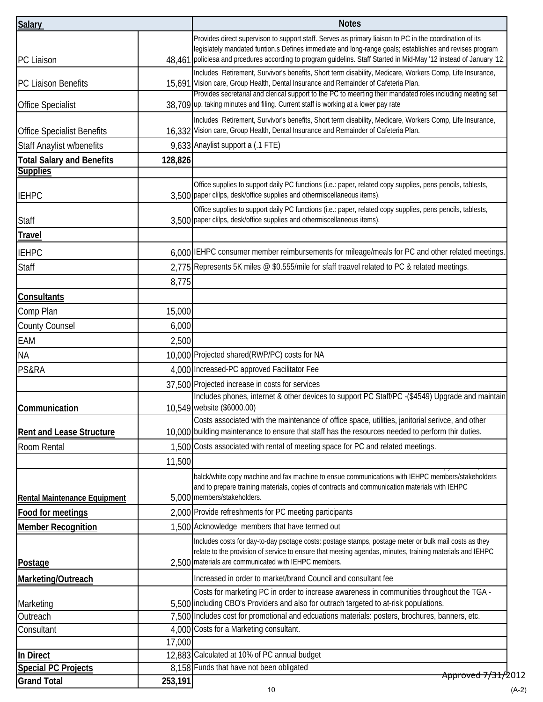| <b>Salary</b>                       |         | <b>Notes</b>                                                                                                                                                                                                                                                                                                                              |  |  |
|-------------------------------------|---------|-------------------------------------------------------------------------------------------------------------------------------------------------------------------------------------------------------------------------------------------------------------------------------------------------------------------------------------------|--|--|
| <b>PC</b> Liaison                   |         | Provides direct supervison to support staff. Serves as primary liaison to PC in the coordination of its<br>legislately mandated funtion.s Defines immediate and long-range goals; establishles and revises program<br>48,461 policiesa and prcedures according to program guidelins. Staff Started in Mid-May '12 instead of January '12. |  |  |
| PC Liaison Benefits                 |         | Includes Retirement, Survivor's benefits, Short term disability, Medicare, Workers Comp, Life Insurance,<br>15,691 Vision care, Group Health, Dental Insurance and Remainder of Cafeteria Plan.                                                                                                                                           |  |  |
| <b>Office Specialist</b>            |         | Provides secretarial and clerical support to the PC to meerting their mandated roles including meeting set<br>38,709 up, taking minutes and filing. Current staff is working at a lower pay rate                                                                                                                                          |  |  |
|                                     |         | Includes Retirement, Survivor's benefits, Short term disability, Medicare, Workers Comp, Life Insurance,                                                                                                                                                                                                                                  |  |  |
| <b>Office Specialist Benefits</b>   |         | 16,332 Vision care, Group Health, Dental Insurance and Remainder of Cafeteria Plan.                                                                                                                                                                                                                                                       |  |  |
| <b>Staff Anaylist w/benefits</b>    |         | 9,633 Anaylist support a (.1 FTE)                                                                                                                                                                                                                                                                                                         |  |  |
| <b>Total Salary and Benefits</b>    | 128,826 |                                                                                                                                                                                                                                                                                                                                           |  |  |
| <b>Supplies</b>                     |         |                                                                                                                                                                                                                                                                                                                                           |  |  |
| <b>IEHPC</b>                        |         | Office supplies to support daily PC functions (i.e.: paper, related copy supplies, pens pencils, tablests,<br>3,500 paper clilps, desk/office supplies and othermiscellaneous items).                                                                                                                                                     |  |  |
| <b>Staff</b>                        |         | Office supplies to support daily PC functions (i.e.: paper, related copy supplies, pens pencils, tablests,<br>3,500 paper clilps, desk/office supplies and othermiscellaneous items).                                                                                                                                                     |  |  |
| <b>Travel</b>                       |         |                                                                                                                                                                                                                                                                                                                                           |  |  |
| <b>IEHPC</b>                        |         | 6,000 IEHPC consumer member reimbursements for mileage/meals for PC and other related meetings                                                                                                                                                                                                                                            |  |  |
| <b>Staff</b>                        |         | 2.775 Represents 5K miles @ \$0.555/mile for sfaff traavel related to PC & related meetings.                                                                                                                                                                                                                                              |  |  |
|                                     | 8,775   |                                                                                                                                                                                                                                                                                                                                           |  |  |
| <b>Consultants</b>                  |         |                                                                                                                                                                                                                                                                                                                                           |  |  |
| Comp Plan                           | 15,000  |                                                                                                                                                                                                                                                                                                                                           |  |  |
| <b>County Counsel</b>               | 6,000   |                                                                                                                                                                                                                                                                                                                                           |  |  |
| EAM                                 | 2,500   |                                                                                                                                                                                                                                                                                                                                           |  |  |
| <b>NA</b>                           |         | 10,000 Projected shared(RWP/PC) costs for NA                                                                                                                                                                                                                                                                                              |  |  |
| PS&RA                               |         | 4,000 Increased-PC approved Facilitator Fee                                                                                                                                                                                                                                                                                               |  |  |
|                                     |         | 37,500 Projected increase in costs for services                                                                                                                                                                                                                                                                                           |  |  |
| Communication                       |         | Includes phones, internet & other devices to support PC Staff/PC -(\$4549) Upgrade and maintain<br>10,549 website (\$6000.00)                                                                                                                                                                                                             |  |  |
| <b>Rent and Lease Structure</b>     |         | Costs associated with the maintenance of office space, utilities, janitorial serivce, and other<br>10,000 building maintenance to ensure that staff has the resources needed to perform thir duties.                                                                                                                                      |  |  |
| Room Rental                         |         | 1,500 Costs associated with rental of meeting space for PC and related meetings.                                                                                                                                                                                                                                                          |  |  |
|                                     | 11,500  |                                                                                                                                                                                                                                                                                                                                           |  |  |
|                                     |         | balck/white copy machine and fax machine to ensue communications with IEHPC members/stakeholders<br>and to prepare training materials, copies of contracts and communication materials with IEHPC                                                                                                                                         |  |  |
| <b>Rental Maintenance Equipment</b> |         | 5,000 members/stakeholders.                                                                                                                                                                                                                                                                                                               |  |  |
| Food for meetings                   |         | 2,000 Provide refreshments for PC meeting participants                                                                                                                                                                                                                                                                                    |  |  |
| <b>Member Recognition</b>           |         | 1.500 Acknowledge members that have termed out                                                                                                                                                                                                                                                                                            |  |  |
| Postage                             |         | Includes costs for day-to-day psotage costs: postage stamps, postage meter or bulk mail costs as they<br>relate to the provision of service to ensure that meeting agendas, minutes, training materials and IEHPC<br>2,500 materials are communicated with IEHPC members.                                                                 |  |  |
| Marketing/Outreach                  |         | Increased in order to market/brand Council and consultant fee                                                                                                                                                                                                                                                                             |  |  |
| Marketing                           |         | Costs for marketing PC in order to increase awareness in communities throughout the TGA -<br>5,500 including CBO's Providers and also for outrach targeted to at-risk populations.                                                                                                                                                        |  |  |
| Outreach                            |         | 7,500 Includes cost for promotional and edcuations materials: posters, brochures, banners, etc.                                                                                                                                                                                                                                           |  |  |
| Consultant                          |         | 4,000 Costs for a Marketing consultant.                                                                                                                                                                                                                                                                                                   |  |  |
|                                     | 17,000  |                                                                                                                                                                                                                                                                                                                                           |  |  |
| In Direct                           |         | 12,883 Calculated at 10% of PC annual budget                                                                                                                                                                                                                                                                                              |  |  |
| Special PC Projects                 |         | 8,158 Funds that have not been obligated                                                                                                                                                                                                                                                                                                  |  |  |
| <b>Grand Total</b>                  | 253,191 | <del>Approved 7/31/</del> 2012                                                                                                                                                                                                                                                                                                            |  |  |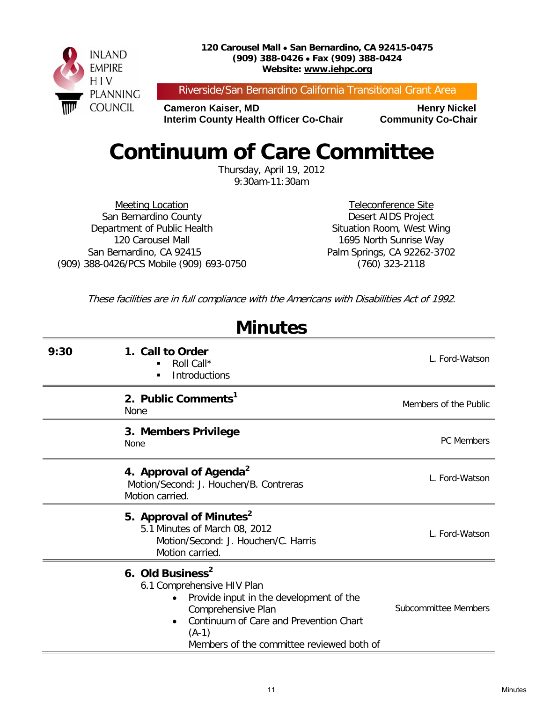

Riverside/San Bernardino California Transitional Grant Area

**Cameron Kaiser, MD Henry Nickel Interim County Health Officer Co-Chair Community Co-Chair** 

## **Continuum of Care Committee**

Thursday, April 19, 2012 9:30am-11:30am

Meeting Location San Bernardino County Department of Public Health 120 Carousel Mall San Bernardino, CA 92415 (909) 388-0426/PCS Mobile (909) 693-0750

Teleconference Site Desert AIDS Project Situation Room, West Wing 1695 North Sunrise Way Palm Springs, CA 92262-3702 (760) 323-2118

These facilities are in full compliance with the Americans with Disabilities Act of 1992.

| <b>Minutes</b> |                                                                                                                                                                                                                               |                       |  |  |
|----------------|-------------------------------------------------------------------------------------------------------------------------------------------------------------------------------------------------------------------------------|-----------------------|--|--|
| 9:30           | 1. Call to Order<br>Roll Call*<br>Introductions                                                                                                                                                                               | L. Ford-Watson        |  |  |
|                | 2. Public Comments <sup>1</sup><br><b>None</b>                                                                                                                                                                                | Members of the Public |  |  |
|                | 3. Members Privilege<br><b>None</b>                                                                                                                                                                                           | <b>PC</b> Members     |  |  |
|                | 4. Approval of Agenda <sup>2</sup><br>Motion/Second: J. Houchen/B. Contreras<br>Motion carried.                                                                                                                               | L. Ford-Watson        |  |  |
|                | 5. Approval of Minutes <sup>2</sup><br>5.1 Minutes of March 08, 2012<br>Motion/Second: J. Houchen/C. Harris<br>Motion carried.                                                                                                | L. Ford-Watson        |  |  |
|                | 6. Old Business <sup>2</sup><br>6.1 Comprehensive HIV Plan<br>Provide input in the development of the<br>Comprehensive Plan<br>Continuum of Care and Prevention Chart<br>$(A-1)$<br>Members of the committee reviewed both of | Subcommittee Members  |  |  |